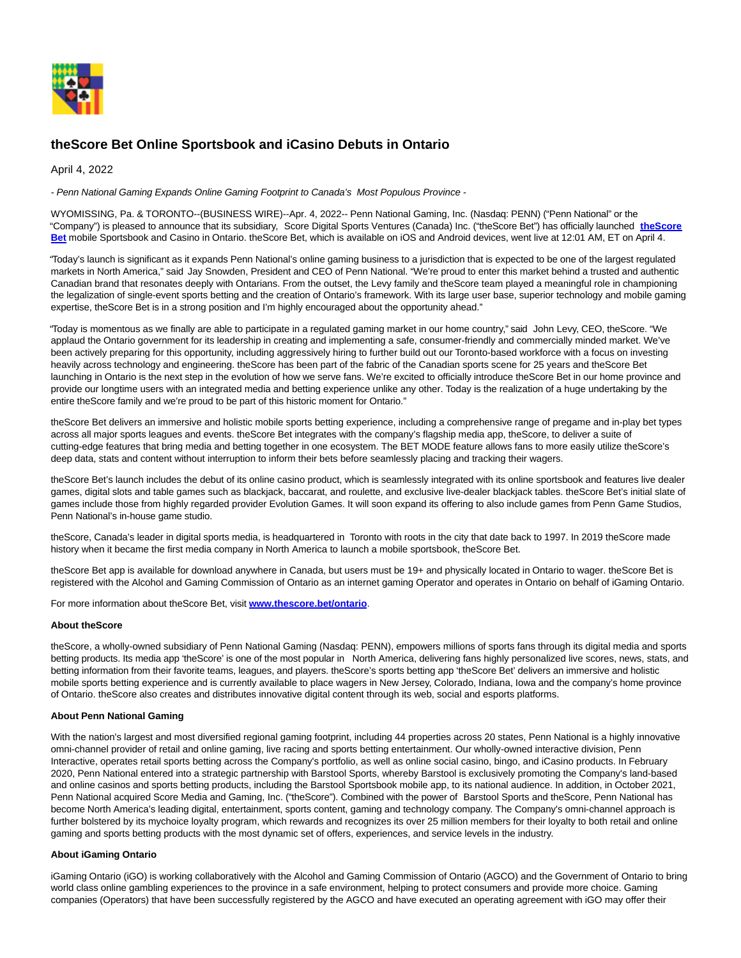

## **theScore Bet Online Sportsbook and iCasino Debuts in Ontario**

April 4, 2022

- Penn National Gaming Expands Online Gaming Footprint to Canada's Most Populous Province -

WYOMISSING, Pa. & TORONTO--(BUSINESS WIRE)--Apr. 4, 2022-- Penn National Gaming, Inc. (Nasdaq: PENN) ("Penn National" or the "Company") is pleased to announce that its subsidiary, Score Digital Sports Ventures (Canada) Inc. ("theScore Bet") has officially launched **[theScore](https://cts.businesswire.com/ct/CT?id=smartlink&url=http%3A%2F%2Fthescore.bet&esheet=52643468&newsitemid=20220404005537&lan=en-US&anchor=theScore+Bet&index=1&md5=b7aed8672023ab270e3a0282c7effbf1) Bet** mobile Sportsbook and Casino in Ontario. theScore Bet, which is available on iOS and Android devices, went live at 12:01 AM, ET on April 4.

"Today's launch is significant as it expands Penn National's online gaming business to a jurisdiction that is expected to be one of the largest regulated markets in North America," said Jay Snowden, President and CEO of Penn National. "We're proud to enter this market behind a trusted and authentic Canadian brand that resonates deeply with Ontarians. From the outset, the Levy family and theScore team played a meaningful role in championing the legalization of single-event sports betting and the creation of Ontario's framework. With its large user base, superior technology and mobile gaming expertise, theScore Bet is in a strong position and I'm highly encouraged about the opportunity ahead."

"Today is momentous as we finally are able to participate in a regulated gaming market in our home country," said John Levy, CEO, theScore. "We applaud the Ontario government for its leadership in creating and implementing a safe, consumer-friendly and commercially minded market. We've been actively preparing for this opportunity, including aggressively hiring to further build out our Toronto-based workforce with a focus on investing heavily across technology and engineering. theScore has been part of the fabric of the Canadian sports scene for 25 years and theScore Bet launching in Ontario is the next step in the evolution of how we serve fans. We're excited to officially introduce theScore Bet in our home province and provide our longtime users with an integrated media and betting experience unlike any other. Today is the realization of a huge undertaking by the entire theScore family and we're proud to be part of this historic moment for Ontario."

theScore Bet delivers an immersive and holistic mobile sports betting experience, including a comprehensive range of pregame and in-play bet types across all major sports leagues and events. theScore Bet integrates with the company's flagship media app, theScore, to deliver a suite of cutting-edge features that bring media and betting together in one ecosystem. The BET MODE feature allows fans to more easily utilize theScore's deep data, stats and content without interruption to inform their bets before seamlessly placing and tracking their wagers.

theScore Bet's launch includes the debut of its online casino product, which is seamlessly integrated with its online sportsbook and features live dealer games, digital slots and table games such as blackjack, baccarat, and roulette, and exclusive live-dealer blackjack tables. theScore Bet's initial slate of games include those from highly regarded provider Evolution Games. It will soon expand its offering to also include games from Penn Game Studios, Penn National's in-house game studio.

theScore, Canada's leader in digital sports media, is headquartered in Toronto with roots in the city that date back to 1997. In 2019 theScore made history when it became the first media company in North America to launch a mobile sportsbook, theScore Bet.

theScore Bet app is available for download anywhere in Canada, but users must be 19+ and physically located in Ontario to wager. theScore Bet is registered with the Alcohol and Gaming Commission of Ontario as an internet gaming Operator and operates in Ontario on behalf of iGaming Ontario.

For more information about theScore Bet, visit **[www.thescore.bet/ontario](https://cts.businesswire.com/ct/CT?id=smartlink&url=http%3A%2F%2Fwww.thescore.bet%2Fontario&esheet=52643468&newsitemid=20220404005537&lan=en-US&anchor=www.thescore.bet%2Fontario&index=2&md5=aa2bcf49a9cd9e6107d6fe432856c678)**.

## **About theScore**

theScore, a wholly-owned subsidiary of Penn National Gaming (Nasdaq: PENN), empowers millions of sports fans through its digital media and sports betting products. Its media app 'theScore' is one of the most popular in North America, delivering fans highly personalized live scores, news, stats, and betting information from their favorite teams, leagues, and players. theScore's sports betting app 'theScore Bet' delivers an immersive and holistic mobile sports betting experience and is currently available to place wagers in New Jersey, Colorado, Indiana, Iowa and the company's home province of Ontario. theScore also creates and distributes innovative digital content through its web, social and esports platforms.

## **About Penn National Gaming**

With the nation's largest and most diversified regional gaming footprint, including 44 properties across 20 states, Penn National is a highly innovative omni-channel provider of retail and online gaming, live racing and sports betting entertainment. Our wholly-owned interactive division, Penn Interactive, operates retail sports betting across the Company's portfolio, as well as online social casino, bingo, and iCasino products. In February 2020, Penn National entered into a strategic partnership with Barstool Sports, whereby Barstool is exclusively promoting the Company's land-based and online casinos and sports betting products, including the Barstool Sportsbook mobile app, to its national audience. In addition, in October 2021, Penn National acquired Score Media and Gaming, Inc. ("theScore"). Combined with the power of Barstool Sports and theScore, Penn National has become North America's leading digital, entertainment, sports content, gaming and technology company. The Company's omni-channel approach is further bolstered by its mychoice loyalty program, which rewards and recognizes its over 25 million members for their loyalty to both retail and online gaming and sports betting products with the most dynamic set of offers, experiences, and service levels in the industry.

## **About iGaming Ontario**

iGaming Ontario (iGO) is working collaboratively with the Alcohol and Gaming Commission of Ontario (AGCO) and the Government of Ontario to bring world class online gambling experiences to the province in a safe environment, helping to protect consumers and provide more choice. Gaming companies (Operators) that have been successfully registered by the AGCO and have executed an operating agreement with iGO may offer their